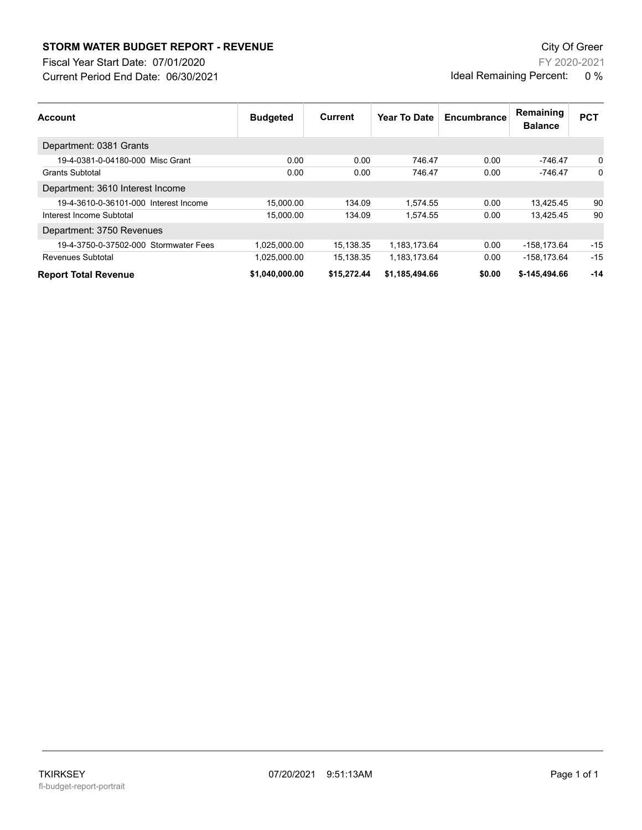## **STORM WATER BUDGET REPORT - REVENUE CONSUMPTER BUDGET REPORT - REVENUE**

Current Period End Date: 06/30/2021 Fiscal Year Start Date: 07/01/2020

FY 2020-2021 Ideal Remaining Percent: 0 %

| <b>Account</b>                        | <b>Budgeted</b> | <b>Current</b> | Year To Date   | Encumbrance | Remaining<br><b>Balance</b> | <b>PCT</b> |
|---------------------------------------|-----------------|----------------|----------------|-------------|-----------------------------|------------|
| Department: 0381 Grants               |                 |                |                |             |                             |            |
| 19-4-0381-0-04180-000 Misc Grant      | 0.00            | 0.00           | 746.47         | 0.00        | -746.47                     | 0          |
| <b>Grants Subtotal</b>                | 0.00            | 0.00           | 746.47         | 0.00        | $-746.47$                   | $\Omega$   |
| Department: 3610 Interest Income      |                 |                |                |             |                             |            |
| 19-4-3610-0-36101-000 Interest Income | 15.000.00       | 134.09         | 1.574.55       | 0.00        | 13.425.45                   | 90         |
| Interest Income Subtotal              | 15,000.00       | 134.09         | 1.574.55       | 0.00        | 13,425.45                   | 90         |
| Department: 3750 Revenues             |                 |                |                |             |                             |            |
| 19-4-3750-0-37502-000 Stormwater Fees | 1,025,000.00    | 15,138.35      | 1.183.173.64   | 0.00        | -158.173.64                 | $-15$      |
| Revenues Subtotal                     | 1,025,000.00    | 15.138.35      | 1,183,173.64   | 0.00        | -158.173.64                 | $-15$      |
| <b>Report Total Revenue</b>           | \$1,040,000.00  | \$15,272.44    | \$1,185,494.66 | \$0.00      | \$-145,494.66               | $-14$      |